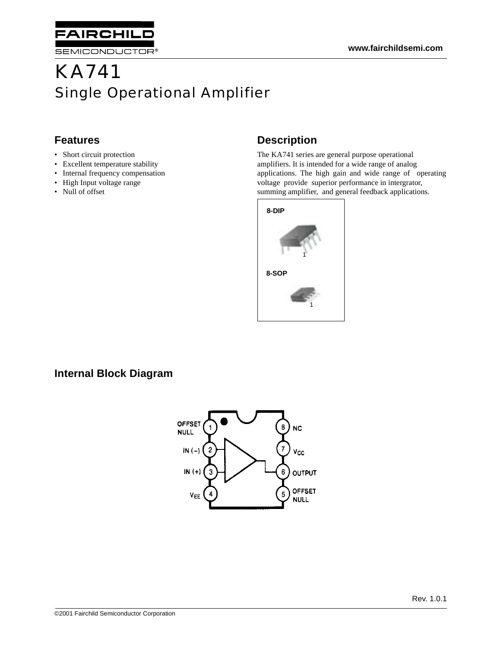

# KA741 Single Operational Amplifier

#### **Features**

- Short circuit protection
- Excellent temperature stability
- Internal frequency compensation
- High Input voltage range
- Null of offset

#### **Description**

The KA741 series are general purpose operational amplifiers. It is intended for a wide range of analog applications. The high gain and wide range of operating voltage provide superior performance in intergrator, summing amplifier, and general feedback applications.



#### **Internal Block Diagram**

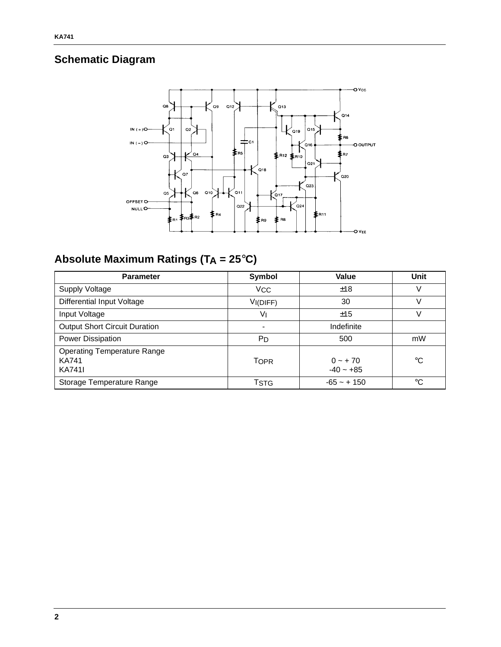### **Schematic Diagram**



## **Absolute Maximum Ratings (TA = 25**°**C)**

| <b>Parameter</b>                                                    | Symbol      | Value                    | Unit        |
|---------------------------------------------------------------------|-------------|--------------------------|-------------|
| Supply Voltage                                                      | <b>VCC</b>  | ±18                      | V           |
| <b>Differential Input Voltage</b>                                   | VI(DIFF)    | 30                       | v           |
| Input Voltage                                                       | Vı          | ±15                      | V           |
| <b>Output Short Circuit Duration</b>                                |             | Indefinite               |             |
| Power Dissipation                                                   | PD          | 500                      | mW          |
| <b>Operating Temperature Range</b><br><b>KA741</b><br><b>KA741I</b> | <b>TOPR</b> | $0 - +70$<br>$-40 - +85$ | $^{\circ}C$ |
| Storage Temperature Range                                           | Tstg        | $-65 - + 150$            | °C          |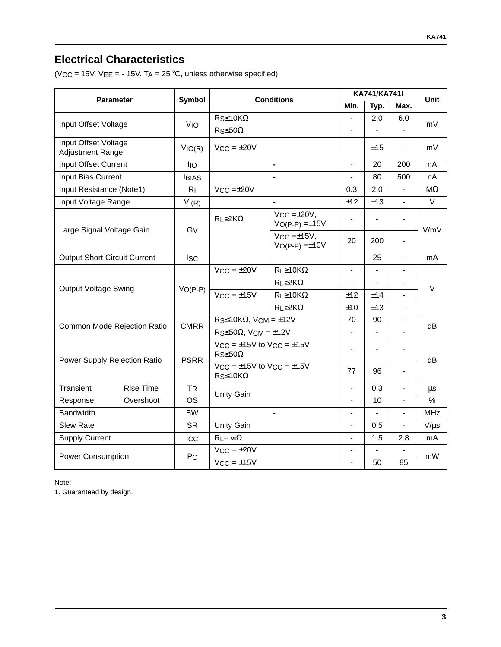### **Electrical Characteristics**

(VCC **=** 15V, VEE = - 15V. TA = 25 °C, unless otherwise specified)

| <b>Parameter</b>                                |                                             | <b>Symbol</b>                      | <b>Conditions</b>                                               |                                          | KA741/KA741I                 |                              |                          | Unit          |
|-------------------------------------------------|---------------------------------------------|------------------------------------|-----------------------------------------------------------------|------------------------------------------|------------------------------|------------------------------|--------------------------|---------------|
|                                                 |                                             |                                    |                                                                 |                                          | Min.                         | Typ.                         | Max.                     |               |
| Input Offset Voltage                            |                                             | <b>V<sub>IO</sub></b>              | $Rs \leq 10K\Omega$                                             |                                          |                              | 2.0                          | 6.0                      | mV            |
|                                                 |                                             |                                    | $RS \leq 50\Omega$                                              |                                          | $\frac{1}{2}$                | $\overline{\phantom{a}}$     | $\frac{1}{2}$            |               |
| Input Offset Voltage<br><b>Adjustment Range</b> |                                             | VIO(R)                             | $VCC = \pm 20V$                                                 |                                          | $\overline{\phantom{a}}$     | ±15                          | $\blacksquare$           | mV            |
| Input Offset Current                            |                                             | Iю                                 |                                                                 | ٠                                        | $\blacksquare$               | 20                           | 200                      | nA            |
| Input Bias Current                              |                                             | <b>IBIAS</b>                       |                                                                 | $\blacksquare$                           | $\frac{1}{2}$                | 80                           | 500                      | nA            |
| Input Resistance (Note1)                        |                                             | $R_{\parallel}$                    | $VCC = \pm 20V$                                                 |                                          | 0.3                          | 2.0                          |                          | MΩ            |
| Input Voltage Range                             |                                             | VI(R)                              |                                                                 | ٠                                        | ±12                          | ±13                          | $\frac{1}{2}$            | $\vee$        |
|                                                 |                                             | Gv                                 | $R$ L $\geq$ 2K $\Omega$                                        | $VCC = \pm 20V$ ,<br>$VO(P-P) = \pm 15V$ |                              |                              |                          | V/mV          |
| Large Signal Voltage Gain                       | $V_{CC} = \pm 15V$ ,<br>$VO(P-P) = \pm 10V$ |                                    |                                                                 | 20                                       | 200                          |                              |                          |               |
| <b>Output Short Circuit Current</b>             |                                             | <b>Isc</b>                         |                                                                 |                                          | $\overline{\phantom{a}}$     | 25                           | $\overline{\phantom{a}}$ | mA            |
|                                                 | $VO(P-P)$                                   | $VCC = \pm 20V$<br>$VCC = \pm 15V$ | $R$ L $\geq$ 10K $\Omega$                                       |                                          |                              |                              | $\vee$                   |               |
| <b>Output Voltage Swing</b>                     |                                             |                                    | $R_{L} \geq 2K\Omega$                                           | $\blacksquare$                           | $\qquad \qquad \blacksquare$ | $\qquad \qquad \blacksquare$ |                          |               |
|                                                 |                                             |                                    | $R$ L $\geq$ 10K $\Omega$                                       | ±12                                      | ±14                          |                              |                          |               |
|                                                 |                                             |                                    | $R_{L} \geq 2K\Omega$                                           | ±10                                      | ±13                          | $\overline{\phantom{a}}$     |                          |               |
| Common Mode Rejection Ratio                     |                                             | <b>CMRR</b>                        | $RS \leq 10K\Omega$ , VCM = ±12V                                |                                          | 70                           | 90                           |                          | dB            |
|                                                 |                                             |                                    | $R_S \leq 50\Omega$ , $VCM = \pm 12V$                           |                                          | $\overline{\phantom{a}}$     | $\overline{\phantom{0}}$     |                          |               |
| Power Supply Rejection Ratio                    |                                             | <b>PSRR</b>                        | $V_{CC} = \pm 15V$ to $V_{CC} = \pm 15V$<br>$R_S \leq 50\Omega$ |                                          | $\overline{\phantom{a}}$     | $\overline{\phantom{0}}$     |                          |               |
|                                                 |                                             |                                    | $VCC = \pm 15V$ to $VCC = \pm 15V$<br>$Rs \leq 10K\Omega$       |                                          | 77                           | 96                           | $\overline{\phantom{a}}$ | dB            |
| Transient                                       | Rise Time                                   | <b>TR</b>                          | <b>Unity Gain</b>                                               |                                          |                              | 0.3                          |                          | μs            |
| Response                                        | Overshoot                                   | <b>OS</b>                          |                                                                 |                                          | $\overline{\phantom{a}}$     | 10                           | $\overline{\phantom{a}}$ | $\frac{0}{0}$ |
| <b>Bandwidth</b>                                |                                             | <b>BW</b>                          |                                                                 |                                          | $\blacksquare$               |                              | $\blacksquare$           | <b>MHz</b>    |
| <b>Slew Rate</b>                                |                                             | <b>SR</b>                          | <b>Unity Gain</b>                                               |                                          | $\frac{1}{2}$                | 0.5                          | $\blacksquare$           | $V/\mu s$     |
| <b>Supply Current</b>                           |                                             | Icc                                | $R_1 = \infty \Omega$                                           |                                          |                              | 1.5                          | 2.8                      | mA            |
| <b>Power Consumption</b>                        |                                             |                                    | $VCC = \pm 20V$                                                 |                                          | $\overline{\phantom{a}}$     | $\frac{1}{2}$                |                          | mW            |
|                                                 |                                             | PC                                 | $V_{CC} = \pm 15V$                                              |                                          | $\overline{\phantom{a}}$     | 50                           | 85                       |               |

Note:

1. Guaranteed by design.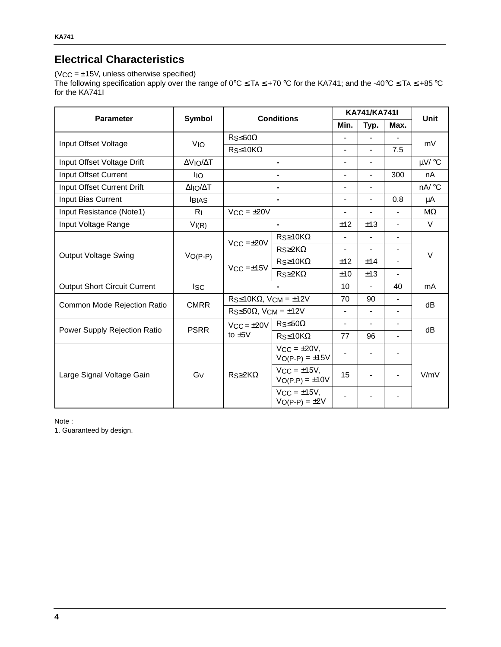#### **Electrical Characteristics**

 $(VCC = ±15V,$  unless otherwise specified)

The following specification apply over the range of 0°C ≤ T<sub>A</sub> ≤ +70 °C for the KA741; and the -40°C ≤ T<sub>A</sub> ≤ +85 °C for the KA741I

|                                     | Symbol          |                                                   |                                             | KA741/KA741I             |                          |                          |                      |
|-------------------------------------|-----------------|---------------------------------------------------|---------------------------------------------|--------------------------|--------------------------|--------------------------|----------------------|
| <b>Parameter</b>                    |                 | <b>Conditions</b>                                 |                                             | Min.                     | Typ.                     | Max.                     | <b>Unit</b>          |
| Input Offset Voltage                |                 | $RS \leq 50\Omega$                                |                                             | $\overline{\phantom{0}}$ |                          |                          | mV                   |
|                                     | V <sub>IO</sub> | $Rs \leq 10K\Omega$                               |                                             | $\overline{\phantom{a}}$ | -                        | 7.5                      |                      |
| Input Offset Voltage Drift          | ΔVΙΟ/ΔΤ         |                                                   | ۰                                           | $\overline{\phantom{0}}$ | -                        |                          | $\mu$ V/ $\degree$ C |
| Input Offset Current                | <b>I</b> IO     |                                                   |                                             | $\overline{\phantom{a}}$ | Ξ.                       | 300                      | nA                   |
| Input Offset Current Drift          | ΔΙΙΟ/ΔΤ         |                                                   | ۰                                           | $\overline{\phantom{a}}$ | -                        |                          | $nA$ °C              |
| Input Bias Current                  | <b>IBIAS</b>    |                                                   |                                             | $\overline{\phantom{a}}$ | $\overline{\phantom{0}}$ | 0.8                      | μA                   |
| Input Resistance (Note1)            | R <sub>1</sub>  | $VCC = \pm 20V$                                   |                                             | $\overline{\phantom{a}}$ | $\overline{\phantom{0}}$ | $\overline{\phantom{a}}$ | $M\Omega$            |
| Input Voltage Range                 | VI(R)           |                                                   |                                             | ±12                      | ±13                      | $\overline{\phantom{a}}$ | $\vee$               |
| <b>Output Voltage Swing</b>         | $VO(P-P)$       | $VCC = \pm 20V$                                   | $Rs \geq 10K\Omega$                         | $\overline{\phantom{a}}$ | $\overline{\phantom{0}}$ | $\blacksquare$           | $\vee$               |
|                                     |                 |                                                   | $R_S \geq 2K\Omega$                         | $\overline{\phantom{a}}$ | $\overline{\phantom{0}}$ | $\overline{\phantom{a}}$ |                      |
|                                     |                 | $VCC = \pm 15V$                                   | $Rs \geq 10K\Omega$                         | ±12                      | ±14                      | $\frac{1}{2}$            |                      |
|                                     |                 |                                                   | $R_S \geq 2K\Omega$                         | ±10                      | ±13                      |                          |                      |
| <b>Output Short Circuit Current</b> | <b>ISC</b>      |                                                   |                                             | 10                       | $\blacksquare$           | 40                       | mA                   |
| Common Mode Rejection Ratio         | <b>CMRR</b>     | $RS \leq 10K\Omega$ , VCM = ±12V                  |                                             | 70                       | 90                       | $\overline{\phantom{0}}$ | dB                   |
|                                     |                 | $\text{Rs}\leq 50\Omega$ , V <sub>CM</sub> = ±12V |                                             | $\overline{\phantom{a}}$ | $\blacksquare$           | $\overline{\phantom{a}}$ |                      |
| Power Supply Rejection Ratio        | <b>PSRR</b>     | $VCC = \pm 20V$<br>to $±5V$                       | $RS \leq 50\Omega$                          | $\overline{\phantom{a}}$ | Ξ.                       | $\overline{\phantom{0}}$ | dВ                   |
|                                     |                 |                                                   | $R_S \leq 10K\Omega$                        | 77                       | 96                       | $\overline{\phantom{a}}$ |                      |
| Large Signal Voltage Gain           | Gy              | $Rs \geq 2K\Omega$                                | $VCC = \pm 20V$ ,<br>$V_{O(P-P)} = \pm 15V$ |                          |                          |                          | V/mV                 |
|                                     |                 |                                                   | $VCC = \pm 15V$ ,<br>$V_{O(P.P)} = \pm 10V$ | 15                       |                          |                          |                      |
|                                     |                 |                                                   | $VCC = \pm 15V$ ,<br>$V_O(P-P) = \pm 2V$    |                          |                          |                          |                      |

Note :

1. Guaranteed by design.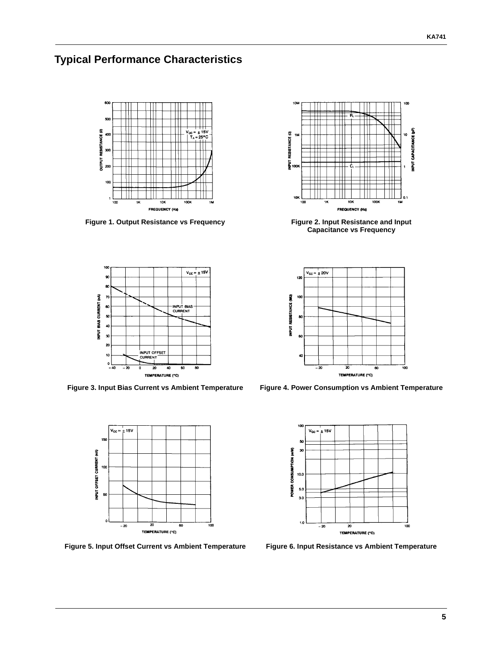## **Typical Performance Characteristics**



**Figure 1. Output Resistance vs Frequency** 



**Figure 3. Input Bias Current vs Ambient Temperature Figure 4. Power Consumption vs Ambient Temperature**



**Figure 5. Input Offset Current vs Ambient Temperature Figure 6. Input Resistance vs Ambient Temperature**



**Figure 2. Input Resistance and Input Capacitance vs Frequency** 



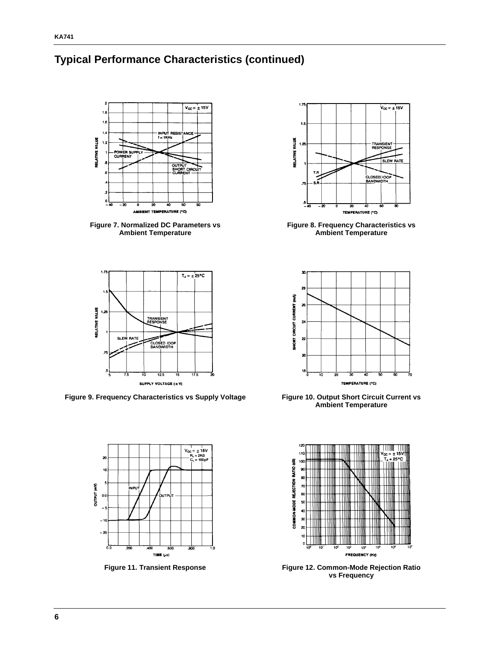#### **Typical Performance Characteristics (continued)**



**Figure 7. Normalized DC Parameters vs Ambient Temperature**



Figure 9. Frequency Characteristics vs Supply Voltage Figure 10. Output Short Circuit Current vs





**Figure 8. Frequency Characteristics vs Ambient Temperature**



**Ambient Temperature**



**Figure 11. Transient Response Figure 12. Common-Mode Rejection Ratio vs Frequency**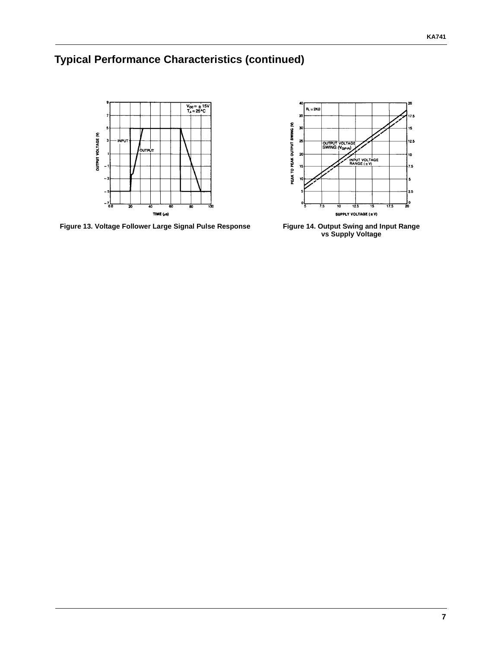## **Typical Performance Characteristics (continued)**



**Figure 13. Voltage Follower Large Signal Pulse Response Figure 14. Output Swing and Input Range** 



**vs Supply Voltage**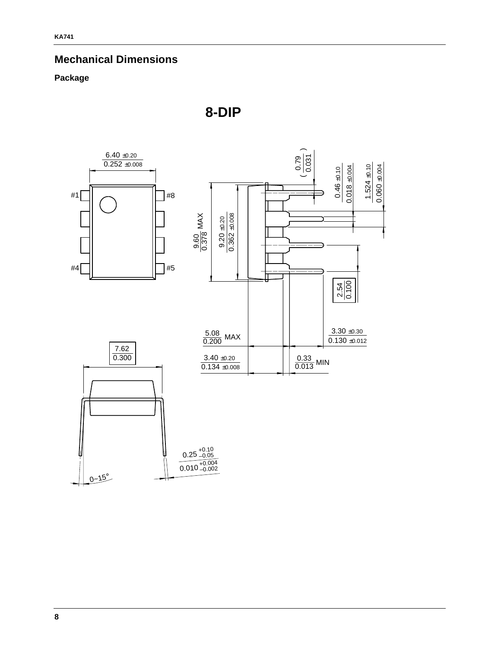#### **Mechanical Dimensions**

#### **Package**



**8-DIP**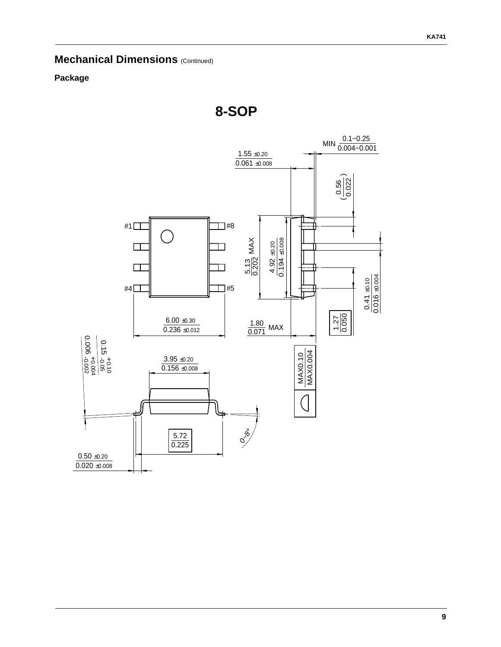### **Mechanical Dimensions (Continued)**

#### **Package**

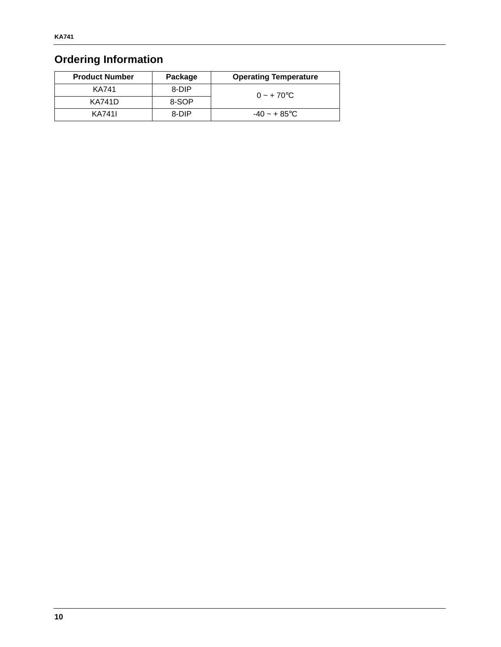### **Ordering Information**

| <b>Product Number</b> | Package | <b>Operating Temperature</b> |
|-----------------------|---------|------------------------------|
| <b>KA741</b>          | 8-DIP   | $0 - +70$ °C                 |
| <b>KA741D</b>         | 8-SOP   |                              |
| KA7411                | 8-DIP   | $-40 \sim +85$ °C            |